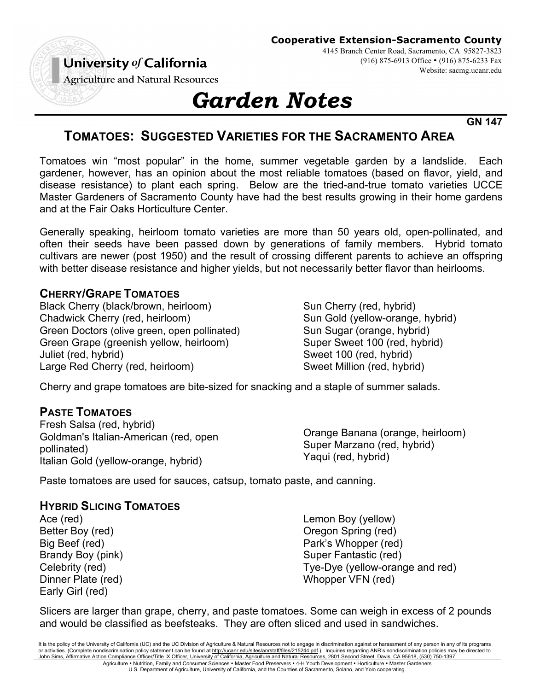#### **Cooperative Extension-Sacramento County**

University of California

4145 Branch Center Road, Sacramento, CA 95827-3823 (916) 875-6913 Office • (916) 875-6233 Fax Website: sacmg.ucanr.edu

**Agriculture and Natural Resources** 

# *Garden Notes*

**GN 147**

## **TOMATOES: SUGGESTED VARIETIES FOR THE SACRAMENTO AREA**

Tomatoes win "most popular" in the home, summer vegetable garden by a landslide. Each gardener, however, has an opinion about the most reliable tomatoes (based on flavor, yield, and disease resistance) to plant each spring. Below are the tried-and-true tomato varieties UCCE Master Gardeners of Sacramento County have had the best results growing in their home gardens and at the Fair Oaks Horticulture Center.

Generally speaking, heirloom tomato varieties are more than 50 years old, open-pollinated, and often their seeds have been passed down by generations of family members. Hybrid tomato cultivars are newer (post 1950) and the result of crossing different parents to achieve an offspring with better disease resistance and higher yields, but not necessarily better flavor than heirlooms.

### **CHERRY/GRAPE TOMATOES**

Black Cherry (black/brown, heirloom) Chadwick Cherry (red, heirloom) Green Doctors (olive green, open pollinated) Green Grape (greenish yellow, heirloom) Juliet (red, hybrid) Large Red Cherry (red, heirloom)

Sun Cherry (red, hybrid) Sun Gold (yellow-orange, hybrid) Sun Sugar (orange, hybrid) Super Sweet 100 (red, hybrid) Sweet 100 (red, hybrid) Sweet Million (red, hybrid)

Cherry and grape tomatoes are bite-sized for snacking and a staple of summer salads.

### **PASTE TOMATOES**

Fresh Salsa (red, hybrid) Goldman's Italian-American (red, open pollinated) Italian Gold (yellow-orange, hybrid)

Orange Banana (orange, heirloom) Super Marzano (red, hybrid) Yaqui (red, hybrid)

Paste tomatoes are used for sauces, catsup, tomato paste, and canning.

### **HYBRID SLICING TOMATOES**

Ace (red) Better Boy (red) Big Beef (red) Brandy Boy (pink) Celebrity (red) Dinner Plate (red) Early Girl (red)

Lemon Boy (yellow) Oregon Spring (red) Park's Whopper (red) Super Fantastic (red) Tye-Dye (yellow-orange and red) Whopper VFN (red)

Slicers are larger than grape, cherry, and paste tomatoes. Some can weigh in excess of 2 pounds and would be classified as beefsteaks. They are often sliced and used in sandwiches.

It is the policy of the University of California (UC) and the UC Division of Agriculture & Natural Resources not to engage in discrimination against or harassment of any person in any of its programs or activities. (Complete nondiscrimination policy statement can be found at <u>http://ucanr.edu/sites/anrstaff/files/215244.pdf</u> ). Inquiries regarding ANR's nondiscrimination policies may be directed to<br>John Sims, Affirmati Agriculture • Nutrition, Family and Consumer Sciences • Master Food Preservers • 4-H Youth Development • Horticulture • Master Gardeners

U.S. Department of Agriculture, University of California, and the Counties of Sacramento, Solano, and Yolo cooperating.